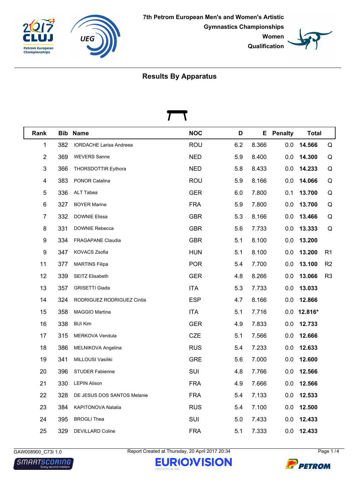





| Rank                    |     | <b>Bib Name</b>                | <b>NOC</b> | D   |       | <b>E</b> Penalty | <b>Total</b>  |                |
|-------------------------|-----|--------------------------------|------------|-----|-------|------------------|---------------|----------------|
| 1                       | 382 | <b>IORDACHE Larisa Andreea</b> | <b>ROU</b> | 6.2 | 8.366 | 0.0              | 14.566        | Q              |
| $\overline{2}$          | 369 | <b>WEVERS Sanne</b>            | <b>NED</b> | 5.9 | 8.400 | 0.0              | 14.300        | Q              |
| 3                       | 366 | THORSDOTTIR Eythora            | <b>NED</b> | 5.8 | 8.433 | 0.0              | 14.233        | Q              |
| $\overline{\mathbf{4}}$ | 383 | PONOR Catalina                 | <b>ROU</b> | 5.9 | 8.166 | 0.0              | 14.066        | Q              |
| 5                       | 336 | ALT Tabea                      | <b>GER</b> | 6.0 | 7.800 | 0.1              | 13.700        | Q              |
| 6                       | 327 | <b>BOYER Marine</b>            | <b>FRA</b> | 5.9 | 7.800 | 0.0              | 13.700        | Q              |
| 7                       | 332 | <b>DOWNIE Elissa</b>           | <b>GBR</b> | 5.3 | 8.166 | 0.0              | 13.466        | Q              |
| 8                       | 331 | DOWNIE Rebecca                 | <b>GBR</b> | 5.6 | 7.733 | 0.0              | 13.333        | Q              |
| 9                       | 334 | <b>FRAGAPANE Claudia</b>       | <b>GBR</b> | 5.1 | 8.100 | 0.0              | 13.200        |                |
| 9                       | 347 | KOVACS Zsofia                  | <b>HUN</b> | 5.1 | 8.100 | 0.0              | 13.200        | R <sub>1</sub> |
| 11                      | 377 | <b>MARTINS Filipa</b>          | <b>POR</b> | 5.4 | 7.700 | 0.0              | 13.100        | R <sub>2</sub> |
| 12                      | 339 | SEITZ Elisabeth                | <b>GER</b> | 4.8 | 8.266 | 0.0              | 13.066        | R <sub>3</sub> |
| 13                      | 357 | <b>GRISETTI Giada</b>          | <b>ITA</b> | 5.3 | 7.733 | 0.0              | 13.033        |                |
| 14                      | 324 | RODRIGUEZ RODRIGUEZ Cintia     | <b>ESP</b> | 4.7 | 8.166 | 0.0              | 12.866        |                |
| 15                      | 358 | MAGGIO Martina                 | <b>ITA</b> | 5.1 | 7.716 |                  | $0.0$ 12.816* |                |
| 16                      | 338 | <b>BUI Kim</b>                 | <b>GER</b> | 4.9 | 7.833 | 0.0              | 12.733        |                |
| 17                      | 315 | MERKOVA Vendula                | <b>CZE</b> | 5.1 | 7.566 | 0.0              | 12.666        |                |
| 18                      | 386 | MELNIKOVA Angelina             | <b>RUS</b> | 5.4 | 7.233 | 0.0              | 12.633        |                |
| 19                      | 341 | MILLOUSI Vasiliki              | <b>GRE</b> | 5.6 | 7.000 | 0.0              | 12.600        |                |
| 20                      | 396 | <b>STUDER Fabienne</b>         | SUI        | 4.8 | 7.766 | 0.0              | 12.566        |                |
| 21                      | 330 | <b>LEPIN Alison</b>            | <b>FRA</b> | 4.9 | 7.666 | 0.0              | 12.566        |                |
| 22                      | 328 | DE JESUS DOS SANTOS Melanie    | <b>FRA</b> | 5.4 | 7.133 | 0.0              | 12.533        |                |
| 23                      | 384 | KAPITONOVA Natalia             | <b>RUS</b> | 5.4 | 7.100 | 0.0              | 12.500        |                |
| 24                      | 395 | <b>BROGLI Thea</b>             | SUI        | 5.0 | 7.433 | 0.0              | 12.433        |                |
| 25                      | 329 | <b>DEVILLARD Coline</b>        | <b>FRA</b> | 5.1 | 7.333 | 0.0              | 12.433        |                |

**SMARTSCORING** 

GAW008900\_C73I 1.0 Report Created at Thursday, 20 April 2017 20:34 Page 1 /4



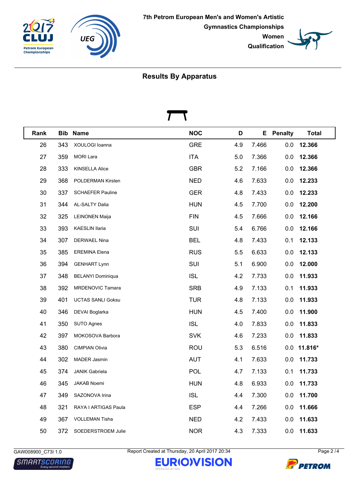





| Rank |     | <b>Bib Name</b>          | <b>NOC</b> | D   |       | <b>E</b> Penalty | <b>Total</b>  |
|------|-----|--------------------------|------------|-----|-------|------------------|---------------|
| 26   | 343 | XOULOGI Ioanna           | <b>GRE</b> | 4.9 | 7.466 | 0.0              | 12.366        |
| 27   | 359 | <b>MORI Lara</b>         | <b>ITA</b> | 5.0 | 7.366 | 0.0              | 12.366        |
| 28   | 333 | <b>KINSELLA Alice</b>    | <b>GBR</b> | 5.2 | 7.166 | 0.0              | 12.366        |
| 29   | 368 | POLDERMAN Kirsten        | <b>NED</b> | 4.6 | 7.633 | 0.0              | 12.233        |
| 30   | 337 | <b>SCHAEFER Pauline</b>  | <b>GER</b> | 4.8 | 7.433 | 0.0              | 12.233        |
| 31   | 344 | AL-SALTY Dalia           | <b>HUN</b> | 4.5 | 7.700 | 0.0              | 12.200        |
| 32   | 325 | <b>LEINONEN Maija</b>    | <b>FIN</b> | 4.5 | 7.666 | 0.0              | 12.166        |
| 33   | 393 | KAESLIN Ilaria           | SUI        | 5.4 | 6.766 | 0.0              | 12.166        |
| 34   | 307 | DERWAEL Nina             | <b>BEL</b> | 4.8 | 7.433 | 0.1              | 12.133        |
| 35   | 385 | <b>EREMINA Elena</b>     | <b>RUS</b> | 5.5 | 6.633 | 0.0              | 12.133        |
| 36   | 394 | <b>GENHART Lynn</b>      | SUI        | 5.1 | 6.900 | 0.0              | 12.000        |
| 37   | 348 | <b>BELANYI Dominiqua</b> | <b>ISL</b> | 4.2 | 7.733 | 0.0              | 11.933        |
| 38   | 392 | MRDENOVIC Tamara         | <b>SRB</b> | 4.9 | 7.133 | 0.1              | 11.933        |
| 39   | 401 | <b>UCTAS SANLI Goksu</b> | <b>TUR</b> | 4.8 | 7.133 | 0.0              | 11.933        |
| 40   | 346 | DEVAI Boglarka           | <b>HUN</b> | 4.5 | 7.400 | 0.0              | 11.900        |
| 41   | 350 | SUTO Agnes               | <b>ISL</b> | 4.0 | 7.833 | 0.0              | 11.833        |
| 42   | 397 | MOKOSOVA Barbora         | <b>SVK</b> | 4.6 | 7.233 | 0.0              | 11.833        |
| 43   | 380 | <b>CIMPIAN Olivia</b>    | <b>ROU</b> | 5.3 | 6.516 |                  | $0.0$ 11.816* |
| 44   | 302 | MADER Jasmin             | <b>AUT</b> | 4.1 | 7.633 | 0.0              | 11.733        |
| 45   | 374 | <b>JANIK Gabriela</b>    | <b>POL</b> | 4.7 | 7.133 |                  | $0.1$ 11.733  |
| 46   | 345 | <b>JAKAB Noemi</b>       | <b>HUN</b> | 4.8 | 6.933 | 0.0              | 11.733        |
| 47   | 349 | SAZONOVA Irina           | <b>ISL</b> | 4.4 | 7.300 | 0.0              | 11.700        |
| 48   | 321 | RAYA I ARTIGAS Paula     | <b>ESP</b> | 4.4 | 7.266 | 0.0              | 11.666        |
| 49   | 367 | <b>VOLLEMAN Tisha</b>    | <b>NED</b> | 4.2 | 7.433 | 0.0              | 11.633        |
| 50   | 372 | SOEDERSTROEM Julie       | <b>NOR</b> | 4.3 | 7.333 | 0.0              | 11.633        |

GAW008900\_C73I 1.0 Report Created at Thursday, 20 April 2017 20:34 Page 2 /4

**EURIOWISION** 



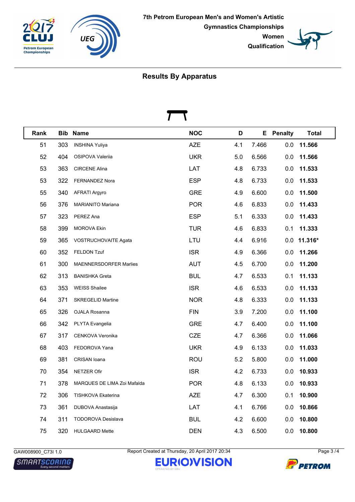





| Rank |     | <b>Bib Name</b>             | <b>NOC</b> | D   |       | <b>E</b> Penalty | <b>Total</b>  |
|------|-----|-----------------------------|------------|-----|-------|------------------|---------------|
| 51   | 303 | <b>INSHINA Yuliya</b>       | <b>AZE</b> | 4.1 | 7.466 | 0.0              | 11.566        |
| 52   | 404 | OSIPOVA Valeriia            | <b>UKR</b> | 5.0 | 6.566 | 0.0              | 11.566        |
| 53   | 363 | <b>CIRCENE Alina</b>        | LAT        | 4.8 | 6.733 | 0.0              | 11.533        |
| 53   | 322 | <b>FERNANDEZ Nora</b>       | <b>ESP</b> | 4.8 | 6.733 | 0.0              | 11.533        |
| 55   | 340 | <b>AFRATI Argyro</b>        | <b>GRE</b> | 4.9 | 6.600 | 0.0              | 11.500        |
| 56   | 376 | <b>MARIANITO Mariana</b>    | <b>POR</b> | 4.6 | 6.833 | 0.0              | 11.433        |
| 57   | 323 | PEREZ Ana                   | <b>ESP</b> | 5.1 | 6.333 | 0.0              | 11.433        |
| 58   | 399 | <b>MOROVA Ekin</b>          | <b>TUR</b> | 4.6 | 6.833 | 0.1              | 11.333        |
| 59   | 365 | VOSTRUCHOVAITE Agata        | LTU        | 4.4 | 6.916 |                  | $0.0$ 11.316* |
| 60   | 352 | FELDON Tzuf                 | <b>ISR</b> | 4.9 | 6.366 | 0.0              | 11.266        |
| 61   | 300 | MAENNERSDORFER Marlies      | <b>AUT</b> | 4.5 | 6.700 | 0.0              | 11.200        |
| 62   | 313 | <b>BANISHKA Greta</b>       | <b>BUL</b> | 4.7 | 6.533 | 0.1              | 11.133        |
| 63   | 353 | <b>WEISS Shailee</b>        | <b>ISR</b> | 4.6 | 6.533 | 0.0              | 11.133        |
| 64   | 371 | <b>SKREGELID Martine</b>    | <b>NOR</b> | 4.8 | 6.333 | 0.0              | 11.133        |
| 65   | 326 | OJALA Rosanna               | <b>FIN</b> | 3.9 | 7.200 | 0.0              | 11.100        |
| 66   | 342 | PLYTA Evangelia             | <b>GRE</b> | 4.7 | 6.400 | 0.0              | 11.100        |
| 67   | 317 | CENKOVA Veronika            | <b>CZE</b> | 4.7 | 6.366 | 0.0              | 11.066        |
| 68   | 403 | FEDOROVA Yana               | <b>UKR</b> | 4.9 | 6.133 | 0.0              | 11.033        |
| 69   | 381 | CRISAN Ioana                | <b>ROU</b> | 5.2 | 5.800 | 0.0              | 11.000        |
| 70   | 354 | <b>NETZER Ofir</b>          | <b>ISR</b> | 4.2 | 6.733 | 0.0              | 10.933        |
| 71   | 378 | MARQUES DE LIMA Zoi Mafalda | <b>POR</b> | 4.8 | 6.133 |                  | $0.0$ 10.933  |
| 72   | 306 | TISHKOVA Ekaterina          | <b>AZE</b> | 4.7 | 6.300 | 0.1              | 10.900        |
| 73   | 361 | DUBOVA Anastasija           | LAT        | 4.1 | 6.766 | 0.0              | 10.866        |
| 74   | 311 | TODOROVA Desislava          | <b>BUL</b> | 4.2 | 6.600 | 0.0              | 10.800        |
| 75   | 320 | <b>HULGAARD Mette</b>       | <b>DEN</b> | 4.3 | 6.500 | 0.0              | 10.800        |

**SMARTSCORING** 

GAW008900\_C73I 1.0 Report Created at Thursday, 20 April 2017 20:34 Page 3 /4

**EURIOWISION**